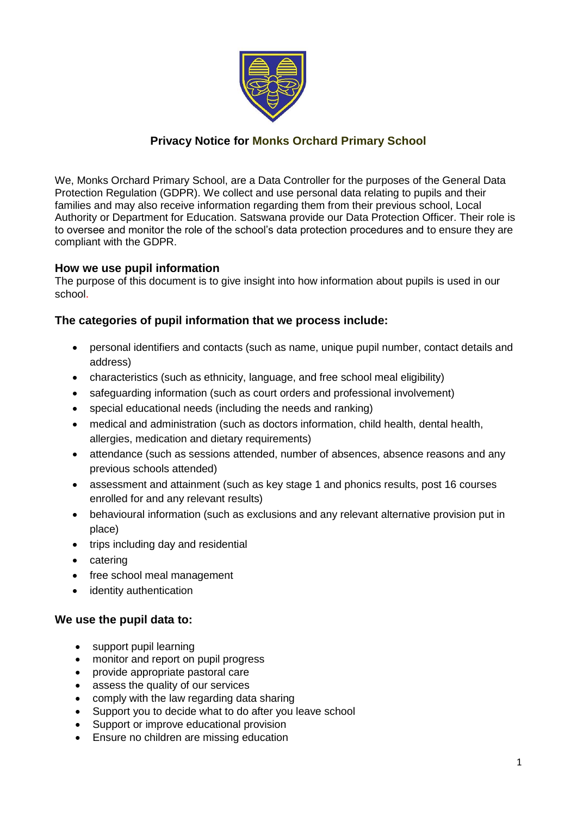

# **Privacy Notice for Monks Orchard Primary School**

We, Monks Orchard Primary School, are a Data Controller for the purposes of the General Data Protection Regulation (GDPR). We collect and use personal data relating to pupils and their families and may also receive information regarding them from their previous school, Local Authority or Department for Education. Satswana provide our Data Protection Officer. Their role is to oversee and monitor the role of the school's data protection procedures and to ensure they are compliant with the GDPR.

## **How we use pupil information**

The purpose of this document is to give insight into how information about pupils is used in our school.

## **The categories of pupil information that we process include:**

- personal identifiers and contacts (such as name, unique pupil number, contact details and address)
- characteristics (such as ethnicity, language, and free school meal eligibility)
- safeguarding information (such as court orders and professional involvement)
- special educational needs (including the needs and ranking)
- medical and administration (such as doctors information, child health, dental health, allergies, medication and dietary requirements)
- attendance (such as sessions attended, number of absences, absence reasons and any previous schools attended)
- assessment and attainment (such as key stage 1 and phonics results, post 16 courses enrolled for and any relevant results)
- behavioural information (such as exclusions and any relevant alternative provision put in place)
- trips including day and residential
- catering
- free school meal management
- identity authentication

## **We use the pupil data to:**

- support pupil learning
- monitor and report on pupil progress
- provide appropriate pastoral care
- assess the quality of our services
- comply with the law regarding data sharing
- Support you to decide what to do after you leave school
- Support or improve educational provision
- Ensure no children are missing education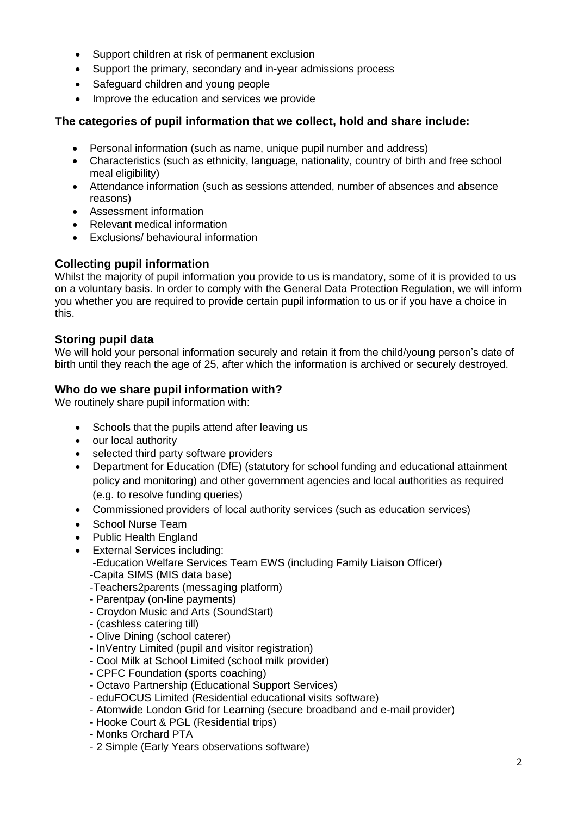- Support children at risk of permanent exclusion
- Support the primary, secondary and in-year admissions process
- Safeguard children and young people
- Improve the education and services we provide

### **The categories of pupil information that we collect, hold and share include:**

- Personal information (such as name, unique pupil number and address)
- Characteristics (such as ethnicity, language, nationality, country of birth and free school meal eligibility)
- Attendance information (such as sessions attended, number of absences and absence reasons)
- Assessment information
- Relevant medical information
- Exclusions/ behavioural information

## **Collecting pupil information**

Whilst the majority of pupil information you provide to us is mandatory, some of it is provided to us on a voluntary basis. In order to comply with the General Data Protection Regulation, we will inform you whether you are required to provide certain pupil information to us or if you have a choice in this.

#### **Storing pupil data**

We will hold your personal information securely and retain it from the child/young person's date of birth until they reach the age of 25, after which the information is archived or securely destroyed.

### **Who do we share pupil information with?**

We routinely share pupil information with:

- Schools that the pupils attend after leaving us
- our local authority
- selected third party software providers
- Department for Education (DfE) (statutory for school funding and educational attainment policy and monitoring) and other government agencies and local authorities as required (e.g. to resolve funding queries)
- Commissioned providers of local authority services (such as education services)
- School Nurse Team
- Public Health England
- External Services including:
	- -Education Welfare Services Team EWS (including Family Liaison Officer) -Capita SIMS (MIS data base)
	- -Teachers2parents (messaging platform)
	- Parentpay (on-line payments)
	- Croydon Music and Arts (SoundStart)
	- (cashless catering till)
	- Olive Dining (school caterer)
	- InVentry Limited (pupil and visitor registration)
	- Cool Milk at School Limited (school milk provider)
	- CPFC Foundation (sports coaching)
	- Octavo Partnership (Educational Support Services)
	- eduFOCUS Limited (Residential educational visits software)
	- Atomwide London Grid for Learning (secure broadband and e-mail provider)
	- Hooke Court & PGL (Residential trips)
	- Monks Orchard PTA
	- 2 Simple (Early Years observations software)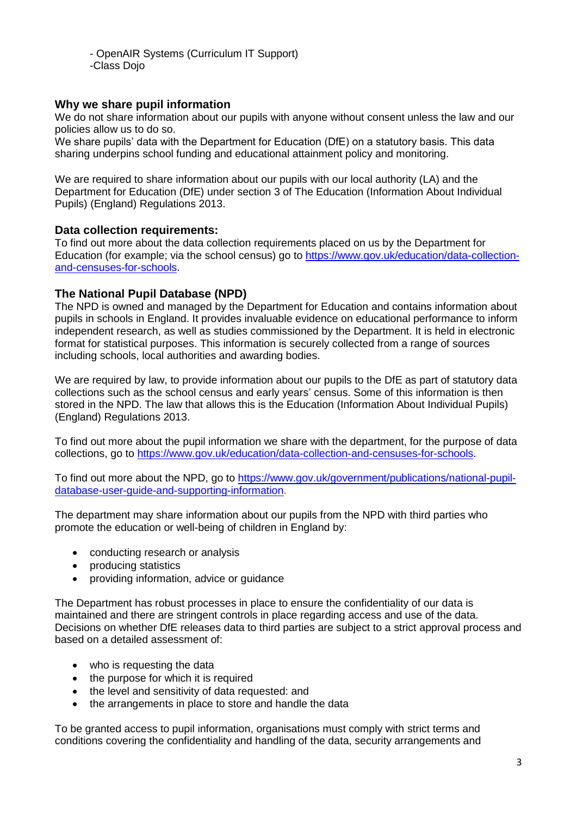- OpenAIR Systems (Curriculum IT Support) -Class Dojo

#### **Why we share pupil information**

We do not share information about our pupils with anyone without consent unless the law and our policies allow us to do so.

We share pupils' data with the Department for Education (DfE) on a statutory basis. This data sharing underpins school funding and educational attainment policy and monitoring.

We are required to share information about our pupils with our local authority (LA) and the Department for Education (DfE) under section 3 of The Education (Information About Individual Pupils) (England) Regulations 2013.

#### **Data collection requirements:**

To find out more about the data collection requirements placed on us by the Department for Education (for example; via the school census) go to [https://www.gov.uk/education/data-collection](https://www.gov.uk/education/data-collection-and-censuses-for-schools)[and-censuses-for-schools.](https://www.gov.uk/education/data-collection-and-censuses-for-schools)

#### **The National Pupil Database (NPD)**

The NPD is owned and managed by the Department for Education and contains information about pupils in schools in England. It provides invaluable evidence on educational performance to inform independent research, as well as studies commissioned by the Department. It is held in electronic format for statistical purposes. This information is securely collected from a range of sources including schools, local authorities and awarding bodies.

We are required by law, to provide information about our pupils to the DfE as part of statutory data collections such as the school census and early years' census. Some of this information is then stored in the NPD. The law that allows this is the Education (Information About Individual Pupils) (England) Regulations 2013.

To find out more about the pupil information we share with the department, for the purpose of data collections, go to [https://www.gov.uk/education/data-collection-and-censuses-for-schools.](https://www.gov.uk/education/data-collection-and-censuses-for-schools)

To find out more about the NPD, go to [https://www.gov.uk/government/publications/national-pupil](https://www.gov.uk/government/publications/national-pupil-database-user-guide-and-supporting-information)[database-user-guide-and-supporting-information.](https://www.gov.uk/government/publications/national-pupil-database-user-guide-and-supporting-information)

The department may share information about our pupils from the NPD with third parties who promote the education or well-being of children in England by:

- conducting research or analysis
- producing statistics
- providing information, advice or guidance

The Department has robust processes in place to ensure the confidentiality of our data is maintained and there are stringent controls in place regarding access and use of the data. Decisions on whether DfE releases data to third parties are subject to a strict approval process and based on a detailed assessment of:

- who is requesting the data
- the purpose for which it is required
- the level and sensitivity of data requested: and
- the arrangements in place to store and handle the data

To be granted access to pupil information, organisations must comply with strict terms and conditions covering the confidentiality and handling of the data, security arrangements and